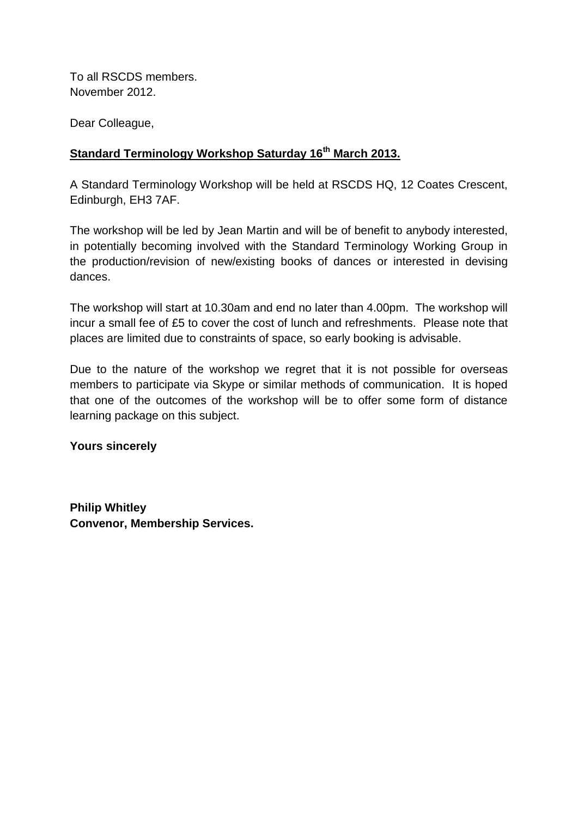To all RSCDS members. November 2012.

Dear Colleague,

## **Standard Terminology Workshop Saturday 16th March 2013.**

A Standard Terminology Workshop will be held at RSCDS HQ, 12 Coates Crescent, Edinburgh, EH3 7AF.

The workshop will be led by Jean Martin and will be of benefit to anybody interested, in potentially becoming involved with the Standard Terminology Working Group in the production/revision of new/existing books of dances or interested in devising dances.

The workshop will start at 10.30am and end no later than 4.00pm. The workshop will incur a small fee of £5 to cover the cost of lunch and refreshments. Please note that places are limited due to constraints of space, so early booking is advisable.

Due to the nature of the workshop we regret that it is not possible for overseas members to participate via Skype or similar methods of communication. It is hoped that one of the outcomes of the workshop will be to offer some form of distance learning package on this subject.

**Yours sincerely**

**Philip Whitley Convenor, Membership Services.**